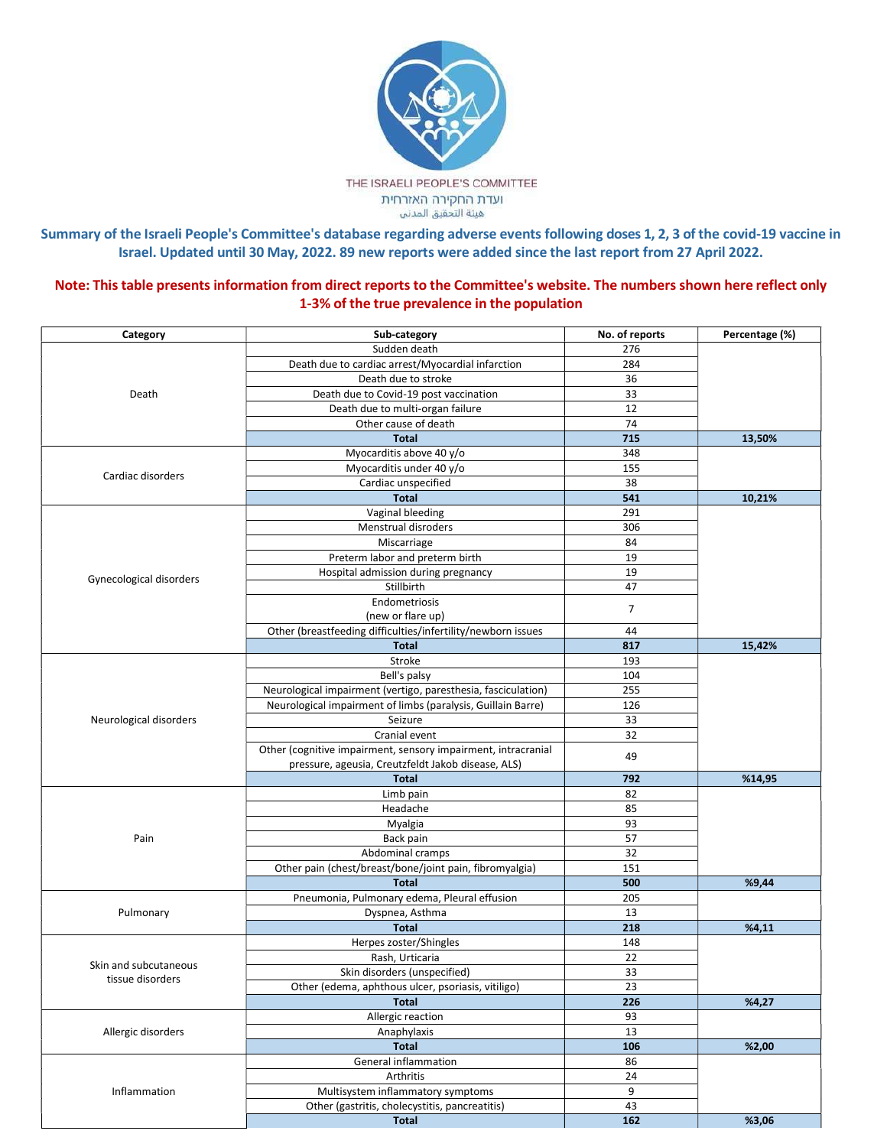

Summary of the Israeli People's Committee's database regarding adverse events following doses 1, 2, 3 of the covid-19 vaccine in Israel. Updated until 30 May, 2022. 89 new reports were added since the last report from 27 April 2022.

Note: This table presents information from direct reports to the Committee's website. The numbers shown here reflect only 1-3% of the true prevalence in the population

| Category                | Sub-category                                                  | No. of reports | Percentage (%) |
|-------------------------|---------------------------------------------------------------|----------------|----------------|
| Death                   | Sudden death                                                  | 276            |                |
|                         | Death due to cardiac arrest/Myocardial infarction             | 284            |                |
|                         | Death due to stroke                                           | 36             |                |
|                         | Death due to Covid-19 post vaccination                        | 33             |                |
|                         | Death due to multi-organ failure                              | 12             |                |
|                         | Other cause of death                                          | 74             |                |
|                         | <b>Total</b>                                                  | 715            | 13,50%         |
| Cardiac disorders       | Myocarditis above 40 y/o                                      | 348            |                |
|                         | Myocarditis under 40 y/o                                      | 155            |                |
|                         | Cardiac unspecified                                           | 38             |                |
|                         | <b>Total</b>                                                  | 541            | 10,21%         |
|                         | Vaginal bleeding                                              | 291            |                |
|                         | Menstrual disroders                                           | 306            |                |
|                         | Miscarriage                                                   | 84             |                |
|                         | Preterm labor and preterm birth                               | 19             |                |
|                         | Hospital admission during pregnancy                           | 19             |                |
| Gynecological disorders | Stillbirth                                                    | 47             |                |
|                         | Endometriosis                                                 |                |                |
|                         | (new or flare up)                                             | $\overline{7}$ |                |
|                         | Other (breastfeeding difficulties/infertility/newborn issues  | 44             |                |
|                         | <b>Total</b>                                                  | 817            | 15,42%         |
|                         | Stroke                                                        | 193            |                |
|                         | Bell's palsy                                                  | 104            |                |
|                         | Neurological impairment (vertigo, paresthesia, fasciculation) | 255            |                |
|                         | Neurological impairment of limbs (paralysis, Guillain Barre)  | 126            |                |
| Neurological disorders  | Seizure                                                       | 33             |                |
|                         | Cranial event                                                 | 32             |                |
|                         | Other (cognitive impairment, sensory impairment, intracranial |                |                |
|                         | pressure, ageusia, Creutzfeldt Jakob disease, ALS)            | 49             |                |
|                         | <b>Total</b>                                                  | 792            | %14,95         |
|                         | Limb pain                                                     | 82             |                |
|                         | Headache                                                      | 85             |                |
| Pain                    | Myalgia                                                       | 93             |                |
|                         | Back pain                                                     | 57             |                |
|                         | Abdominal cramps                                              | 32             |                |
|                         | Other pain (chest/breast/bone/joint pain, fibromyalgia)       | 151            |                |
|                         | <b>Total</b>                                                  | 500            | %9,44          |
| Pulmonary               | Pneumonia, Pulmonary edema, Pleural effusion                  | 205            |                |
|                         | Dyspnea, Asthma                                               | 13             |                |
|                         | <b>Total</b>                                                  | 218            | %4,11          |
|                         | Herpes zoster/Shingles                                        | 148            |                |
|                         | Rash, Urticaria                                               | 22             |                |
| Skin and subcutaneous   | Skin disorders (unspecified)                                  | 33             |                |
| tissue disorders        | Other (edema, aphthous ulcer, psoriasis, vitiligo)            | 23             |                |
|                         | <b>Total</b>                                                  | 226            | %4,27          |
| Allergic disorders      | Allergic reaction                                             | 93             |                |
|                         | Anaphylaxis                                                   | 13             |                |
|                         | <b>Total</b>                                                  | 106            | %2,00          |
| Inflammation            | General inflammation                                          | 86             |                |
|                         | Arthritis                                                     | $24\,$         |                |
|                         | Multisystem inflammatory symptoms                             | 9              |                |
|                         | Other (gastritis, cholecystitis, pancreatitis)                | 43             |                |
|                         | <b>Total</b>                                                  | 162            | %3,06          |